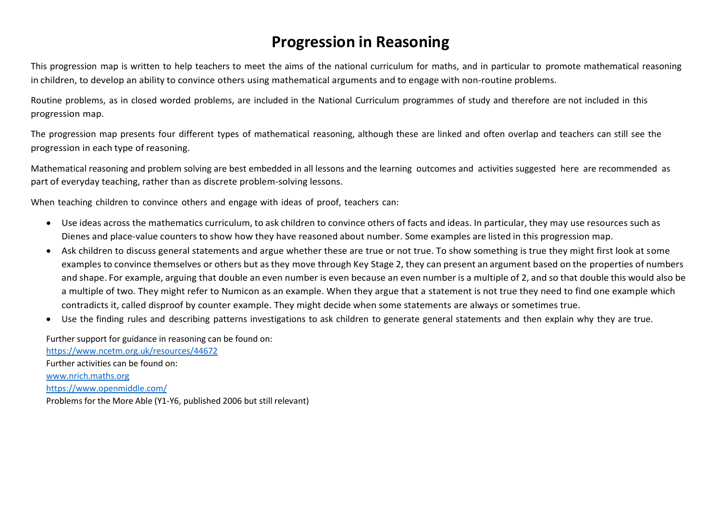## **Progression in Reasoning**

This progression map is written to help teachers to meet the aims of the national curriculum for maths, and in particular to promote mathematical reasoning in children, to develop an ability to convince others using mathematical arguments and to engage with non-routine problems.

Routine problems, as in closed worded problems, are included in the National Curriculum programmes of study and therefore are not included in this progression map.

The progression map presents four different types of mathematical reasoning, although these are linked and often overlap and teachers can still see the progression in each type of reasoning.

Mathematical reasoning and problem solving are best embedded in all lessons and the learning outcomes and activities suggested here are recommended as part of everyday teaching, rather than as discrete problem-solving lessons.

When teaching children to convince others and engage with ideas of proof, teachers can:

- Use ideas across the mathematics curriculum, to ask children to convince others of facts and ideas. In particular, they may use resources such as Dienes and place-value counters to show how they have reasoned about number. Some examples are listed in this progression map.
- Ask children to discuss general statements and argue whether these are true or not true. To show something is true they might first look at some examples to convince themselves or others but asthey move through Key Stage 2, they can present an argument based on the properties of numbers and shape. For example, arguing that double an even number is even because an even number is a multiple of 2, and so that double this would also be a multiple of two. They might refer to Numicon as an example. When they argue that a statement is not true they need to find one example which contradicts it, called disproof by counter example. They might decide when some statements are always or sometimes true.
- Use the finding rules and describing patterns investigations to ask children to generate general statements and then explain why they are true.

Further support for guidance in reasoning can be found on: <https://www.ncetm.org.uk/resources/44672> Further activities can be found on: [www.nrich.maths.org](http://www.nrich.maths.org/) <https://www.openmiddle.com/> Problems for the More Able (Y1-Y6, published 2006 but still relevant)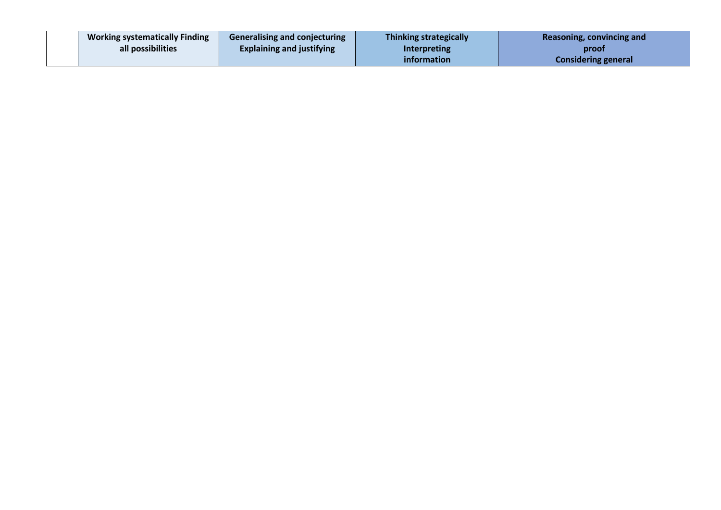| <b>Working systematically Finding</b> | <b>Generalising and conjecturing</b> | <b>Thinking strategically</b> | Reasoning, convincing and  |
|---------------------------------------|--------------------------------------|-------------------------------|----------------------------|
| all possibilities                     | <b>Explaining and justifying</b>     | <b>Interpreting</b>           | proof                      |
|                                       |                                      | <i>information</i>            | <b>Considering general</b> |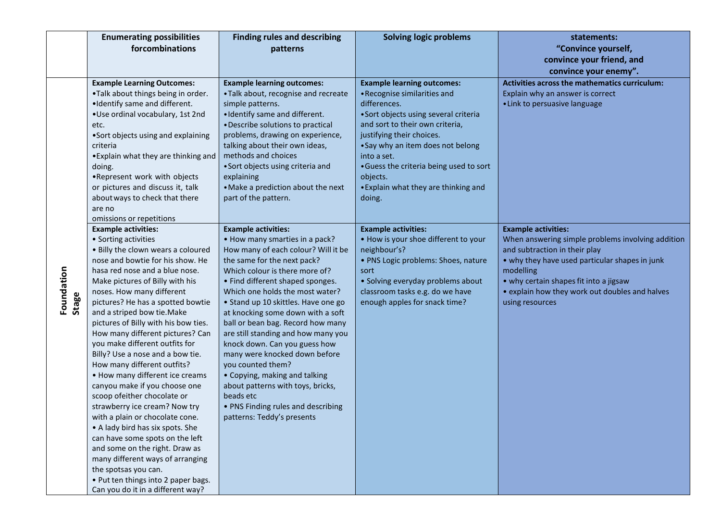|                     | <b>Enumerating possibilities</b>                                  | <b>Finding rules and describing</b>                                 | <b>Solving logic problems</b>                                            | statements:                                                                              |
|---------------------|-------------------------------------------------------------------|---------------------------------------------------------------------|--------------------------------------------------------------------------|------------------------------------------------------------------------------------------|
|                     | forcombinations                                                   | patterns                                                            |                                                                          | "Convince yourself,                                                                      |
|                     |                                                                   |                                                                     |                                                                          | convince your friend, and                                                                |
|                     |                                                                   |                                                                     |                                                                          | convince your enemy".                                                                    |
|                     | <b>Example Learning Outcomes:</b>                                 | <b>Example learning outcomes:</b>                                   | <b>Example learning outcomes:</b>                                        | Activities across the mathematics curriculum:                                            |
|                     | .Talk about things being in order.                                | • Talk about, recognise and recreate                                | • Recognise similarities and                                             | Explain why an answer is correct                                                         |
|                     | .Identify same and different.                                     | simple patterns.                                                    | differences.                                                             | • Link to persuasive language                                                            |
|                     | .Use ordinal vocabulary, 1st 2nd                                  | • Identify same and different.<br>• Describe solutions to practical | • Sort objects using several criteria<br>and sort to their own criteria, |                                                                                          |
|                     | etc.<br>•Sort objects using and explaining                        | problems, drawing on experience,                                    | justifying their choices.                                                |                                                                                          |
|                     | criteria                                                          | talking about their own ideas,                                      | • Say why an item does not belong                                        |                                                                                          |
|                     | • Explain what they are thinking and                              | methods and choices                                                 | into a set.                                                              |                                                                                          |
|                     | doing.                                                            | • Sort objects using criteria and                                   | • Guess the criteria being used to sort                                  |                                                                                          |
|                     | .Represent work with objects                                      | explaining                                                          | objects.                                                                 |                                                                                          |
|                     | or pictures and discuss it, talk                                  | • Make a prediction about the next                                  | • Explain what they are thinking and                                     |                                                                                          |
|                     | about ways to check that there                                    | part of the pattern.                                                | doing.                                                                   |                                                                                          |
|                     | are no                                                            |                                                                     |                                                                          |                                                                                          |
|                     | omissions or repetitions                                          |                                                                     |                                                                          |                                                                                          |
|                     | <b>Example activities:</b>                                        | <b>Example activities:</b>                                          | <b>Example activities:</b>                                               | <b>Example activities:</b>                                                               |
|                     | • Sorting activities                                              | • How many smarties in a pack?                                      | . How is your shoe different to your                                     | When answering simple problems involving addition                                        |
|                     | . Billy the clown wears a coloured                                | How many of each colour? Will it be                                 | neighbour's?                                                             | and subtraction in their play                                                            |
|                     | nose and bowtie for his show. He                                  | the same for the next pack?                                         | • PNS Logic problems: Shoes, nature                                      | • why they have used particular shapes in junk                                           |
|                     | hasa red nose and a blue nose.<br>Make pictures of Billy with his | Which colour is there more of?                                      | sort                                                                     | modelling                                                                                |
|                     | noses. How many different                                         | • Find different shaped sponges.<br>Which one holds the most water? | • Solving everyday problems about<br>classroom tasks e.g. do we have     | • why certain shapes fit into a jigsaw<br>• explain how they work out doubles and halves |
| Foundation<br>Stage | pictures? He has a spotted bowtie                                 | • Stand up 10 skittles. Have one go                                 | enough apples for snack time?                                            | using resources                                                                          |
|                     | and a striped bow tie. Make                                       | at knocking some down with a soft                                   |                                                                          |                                                                                          |
|                     | pictures of Billy with his bow ties.                              | ball or bean bag. Record how many                                   |                                                                          |                                                                                          |
|                     | How many different pictures? Can                                  | are still standing and how many you                                 |                                                                          |                                                                                          |
|                     | you make different outfits for                                    | knock down. Can you guess how                                       |                                                                          |                                                                                          |
|                     | Billy? Use a nose and a bow tie.                                  | many were knocked down before                                       |                                                                          |                                                                                          |
|                     | How many different outfits?                                       | you counted them?                                                   |                                                                          |                                                                                          |
|                     | • How many different ice creams                                   | • Copying, making and talking                                       |                                                                          |                                                                                          |
|                     | canyou make if you choose one                                     | about patterns with toys, bricks,                                   |                                                                          |                                                                                          |
|                     | scoop ofeither chocolate or                                       | beads etc                                                           |                                                                          |                                                                                          |
|                     | strawberry ice cream? Now try                                     | • PNS Finding rules and describing                                  |                                                                          |                                                                                          |
|                     | with a plain or chocolate cone.                                   | patterns: Teddy's presents                                          |                                                                          |                                                                                          |
|                     | • A lady bird has six spots. She                                  |                                                                     |                                                                          |                                                                                          |
|                     | can have some spots on the left<br>and some on the right. Draw as |                                                                     |                                                                          |                                                                                          |
|                     | many different ways of arranging                                  |                                                                     |                                                                          |                                                                                          |
|                     | the spotsas you can.                                              |                                                                     |                                                                          |                                                                                          |
|                     | • Put ten things into 2 paper bags.                               |                                                                     |                                                                          |                                                                                          |
|                     | Can you do it in a different way?                                 |                                                                     |                                                                          |                                                                                          |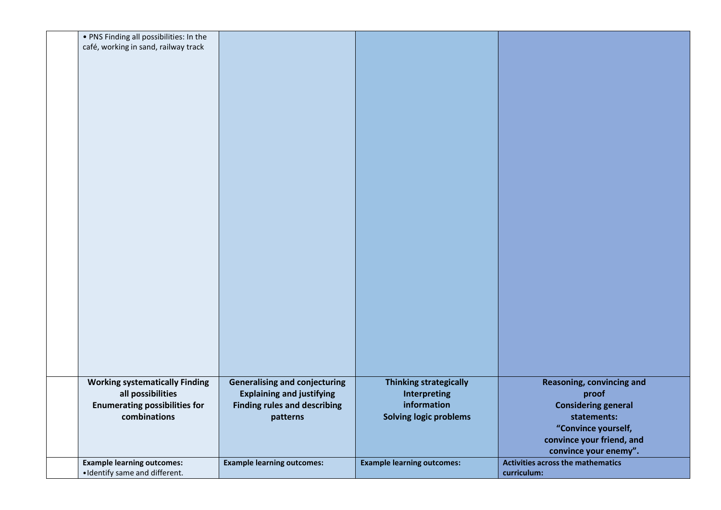| . PNS Finding all possibilities: In the |                                      |                                   |                                          |
|-----------------------------------------|--------------------------------------|-----------------------------------|------------------------------------------|
| café, working in sand, railway track    |                                      |                                   |                                          |
|                                         |                                      |                                   |                                          |
|                                         |                                      |                                   |                                          |
|                                         |                                      |                                   |                                          |
|                                         |                                      |                                   |                                          |
|                                         |                                      |                                   |                                          |
|                                         |                                      |                                   |                                          |
|                                         |                                      |                                   |                                          |
|                                         |                                      |                                   |                                          |
|                                         |                                      |                                   |                                          |
|                                         |                                      |                                   |                                          |
|                                         |                                      |                                   |                                          |
|                                         |                                      |                                   |                                          |
|                                         |                                      |                                   |                                          |
|                                         |                                      |                                   |                                          |
|                                         |                                      |                                   |                                          |
|                                         |                                      |                                   |                                          |
|                                         |                                      |                                   |                                          |
|                                         |                                      |                                   |                                          |
|                                         |                                      |                                   |                                          |
|                                         |                                      |                                   |                                          |
|                                         |                                      |                                   |                                          |
|                                         |                                      |                                   |                                          |
|                                         |                                      |                                   |                                          |
|                                         |                                      |                                   |                                          |
|                                         |                                      |                                   |                                          |
|                                         |                                      |                                   |                                          |
|                                         |                                      |                                   |                                          |
|                                         |                                      |                                   |                                          |
|                                         |                                      |                                   |                                          |
|                                         |                                      |                                   |                                          |
|                                         |                                      |                                   |                                          |
|                                         |                                      |                                   |                                          |
|                                         |                                      |                                   |                                          |
|                                         |                                      |                                   |                                          |
|                                         |                                      |                                   |                                          |
|                                         |                                      |                                   |                                          |
| <b>Working systematically Finding</b>   | <b>Generalising and conjecturing</b> | <b>Thinking strategically</b>     | <b>Reasoning, convincing and</b>         |
| all possibilities                       | <b>Explaining and justifying</b>     | <b>Interpreting</b>               | proof                                    |
| <b>Enumerating possibilities for</b>    | <b>Finding rules and describing</b>  | information                       | <b>Considering general</b>               |
| combinations                            | patterns                             | <b>Solving logic problems</b>     | statements:                              |
|                                         |                                      |                                   |                                          |
|                                         |                                      |                                   | "Convince yourself,                      |
|                                         |                                      |                                   | convince your friend, and                |
|                                         |                                      |                                   | convince your enemy".                    |
| <b>Example learning outcomes:</b>       | <b>Example learning outcomes:</b>    | <b>Example learning outcomes:</b> | <b>Activities across the mathematics</b> |
| · Identify same and different.          |                                      |                                   | curriculum:                              |
|                                         |                                      |                                   |                                          |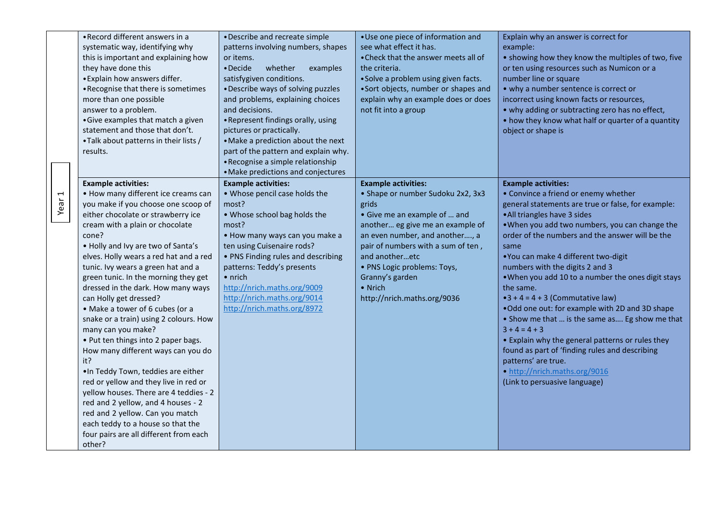|                   | • Record different answers in a        | • Describe and recreate simple       | • Use one piece of information and   | Explain why an answer is correct for               |
|-------------------|----------------------------------------|--------------------------------------|--------------------------------------|----------------------------------------------------|
|                   | systematic way, identifying why        | patterns involving numbers, shapes   | see what effect it has.              | example:                                           |
|                   | this is important and explaining how   | or items.                            | • Check that the answer meets all of | • showing how they know the multiples of two, five |
|                   | they have done this                    | • Decide<br>whether<br>examples      | the criteria.                        | or ten using resources such as Numicon or a        |
|                   | • Explain how answers differ.          | satisfygiven conditions.             | • Solve a problem using given facts. | number line or square                              |
|                   | • Recognise that there is sometimes    | • Describe ways of solving puzzles   | •Sort objects, number or shapes and  | • why a number sentence is correct or              |
|                   | more than one possible                 | and problems, explaining choices     | explain why an example does or does  | incorrect using known facts or resources,          |
|                   | answer to a problem.                   | and decisions.                       | not fit into a group                 | • why adding or subtracting zero has no effect,    |
|                   | • Give examples that match a given     | • Represent findings orally, using   |                                      | • how they know what half or quarter of a quantity |
|                   | statement and those that don't.        | pictures or practically.             |                                      | object or shape is                                 |
|                   | • Talk about patterns in their lists / | • Make a prediction about the next   |                                      |                                                    |
|                   | results.                               | part of the pattern and explain why. |                                      |                                                    |
|                   |                                        | • Recognise a simple relationship    |                                      |                                                    |
|                   |                                        | • Make predictions and conjectures   |                                      |                                                    |
|                   | <b>Example activities:</b>             | <b>Example activities:</b>           | <b>Example activities:</b>           | <b>Example activities:</b>                         |
|                   | • How many different ice creams can    | . Whose pencil case holds the        | • Shape or number Sudoku 2x2, 3x3    | • Convince a friend or enemy whether               |
| Year <sub>1</sub> | you make if you choose one scoop of    | most?                                | grids                                | general statements are true or false, for example: |
|                   | either chocolate or strawberry ice     | • Whose school bag holds the         | • Give me an example of  and         | • All triangles have 3 sides                       |
|                   | cream with a plain or chocolate        | most?                                | another eg give me an example of     | . When you add two numbers, you can change the     |
|                   | cone?                                  | • How many ways can you make a       | an even number, and another, a       | order of the numbers and the answer will be the    |
|                   | . Holly and Ivy are two of Santa's     | ten using Cuisenaire rods?           | pair of numbers with a sum of ten,   | same                                               |
|                   | elves. Holly wears a red hat and a red | • PNS Finding rules and describing   | and anotheretc                       | •You can make 4 different two-digit                |
|                   | tunic. Ivy wears a green hat and a     | patterns: Teddy's presents           | • PNS Logic problems: Toys,          | numbers with the digits 2 and 3                    |
|                   | green tunic. In the morning they get   | • nrich                              | Granny's garden                      | . When you add 10 to a number the ones digit stays |
|                   | dressed in the dark. How many ways     | http://nrich.maths.org/9009          | • Nrich                              | the same.                                          |
|                   | can Holly get dressed?                 | http://nrich.maths.org/9014          | http://nrich.maths.org/9036          | $\bullet$ 3 + 4 = 4 + 3 (Commutative law)          |
|                   | • Make a tower of 6 cubes (or a        | http://nrich.maths.org/8972          |                                      | . Odd one out: for example with 2D and 3D shape    |
|                   | snake or a train) using 2 colours. How |                                      |                                      | • Show me that  is the same as Eg show me that     |
|                   | many can you make?                     |                                      |                                      | $3 + 4 = 4 + 3$                                    |
|                   | • Put ten things into 2 paper bags.    |                                      |                                      | • Explain why the general patterns or rules they   |
|                   | How many different ways can you do     |                                      |                                      | found as part of 'finding rules and describing     |
|                   | it?                                    |                                      |                                      | patterns' are true.                                |
|                   | .In Teddy Town, teddies are either     |                                      |                                      | • http://nrich.maths.org/9016                      |
|                   | red or yellow and they live in red or  |                                      |                                      | (Link to persuasive language)                      |
|                   | yellow houses. There are 4 teddies - 2 |                                      |                                      |                                                    |
|                   | red and 2 yellow, and 4 houses - 2     |                                      |                                      |                                                    |
|                   | red and 2 yellow. Can you match        |                                      |                                      |                                                    |
|                   | each teddy to a house so that the      |                                      |                                      |                                                    |
|                   | four pairs are all different from each |                                      |                                      |                                                    |
|                   | other?                                 |                                      |                                      |                                                    |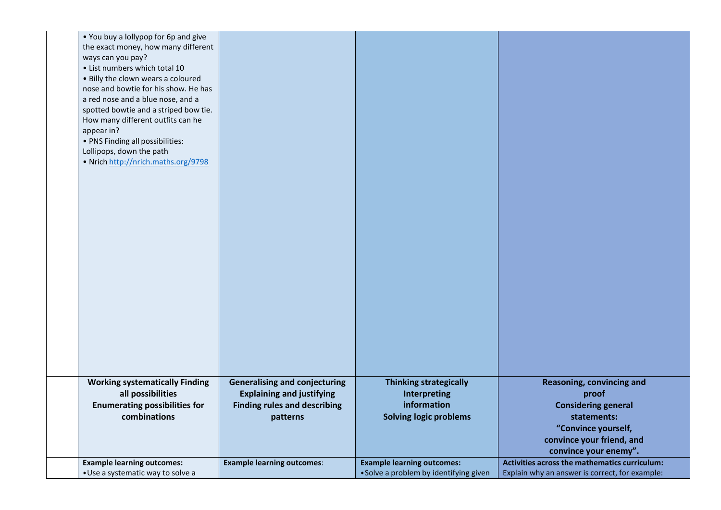| . You buy a lollypop for 6p and give  |                                      |                                        |                                                |
|---------------------------------------|--------------------------------------|----------------------------------------|------------------------------------------------|
| the exact money, how many different   |                                      |                                        |                                                |
| ways can you pay?                     |                                      |                                        |                                                |
| • List numbers which total 10         |                                      |                                        |                                                |
| . Billy the clown wears a coloured    |                                      |                                        |                                                |
| nose and bowtie for his show. He has  |                                      |                                        |                                                |
| a red nose and a blue nose, and a     |                                      |                                        |                                                |
| spotted bowtie and a striped bow tie. |                                      |                                        |                                                |
| How many different outfits can he     |                                      |                                        |                                                |
| appear in?                            |                                      |                                        |                                                |
| • PNS Finding all possibilities:      |                                      |                                        |                                                |
| Lollipops, down the path              |                                      |                                        |                                                |
| • Nrich http://nrich.maths.org/9798   |                                      |                                        |                                                |
|                                       |                                      |                                        |                                                |
|                                       |                                      |                                        |                                                |
|                                       |                                      |                                        |                                                |
|                                       |                                      |                                        |                                                |
|                                       |                                      |                                        |                                                |
|                                       |                                      |                                        |                                                |
|                                       |                                      |                                        |                                                |
|                                       |                                      |                                        |                                                |
|                                       |                                      |                                        |                                                |
|                                       |                                      |                                        |                                                |
|                                       |                                      |                                        |                                                |
|                                       |                                      |                                        |                                                |
|                                       |                                      |                                        |                                                |
|                                       |                                      |                                        |                                                |
|                                       |                                      |                                        |                                                |
|                                       |                                      |                                        |                                                |
|                                       |                                      |                                        |                                                |
|                                       |                                      |                                        |                                                |
|                                       |                                      |                                        |                                                |
|                                       |                                      |                                        |                                                |
|                                       |                                      |                                        |                                                |
| <b>Working systematically Finding</b> | <b>Generalising and conjecturing</b> | <b>Thinking strategically</b>          | Reasoning, convincing and                      |
| all possibilities                     | <b>Explaining and justifying</b>     | Interpreting                           | proof                                          |
| <b>Enumerating possibilities for</b>  | <b>Finding rules and describing</b>  | information                            | <b>Considering general</b>                     |
| combinations                          | patterns                             | <b>Solving logic problems</b>          | statements:                                    |
|                                       |                                      |                                        | "Convince yourself,                            |
|                                       |                                      |                                        | convince your friend, and                      |
|                                       |                                      |                                        | convince your enemy".                          |
|                                       |                                      |                                        |                                                |
| <b>Example learning outcomes:</b>     | <b>Example learning outcomes:</b>    | <b>Example learning outcomes:</b>      | Activities across the mathematics curriculum:  |
| • Use a systematic way to solve a     |                                      | • Solve a problem by identifying given | Explain why an answer is correct, for example: |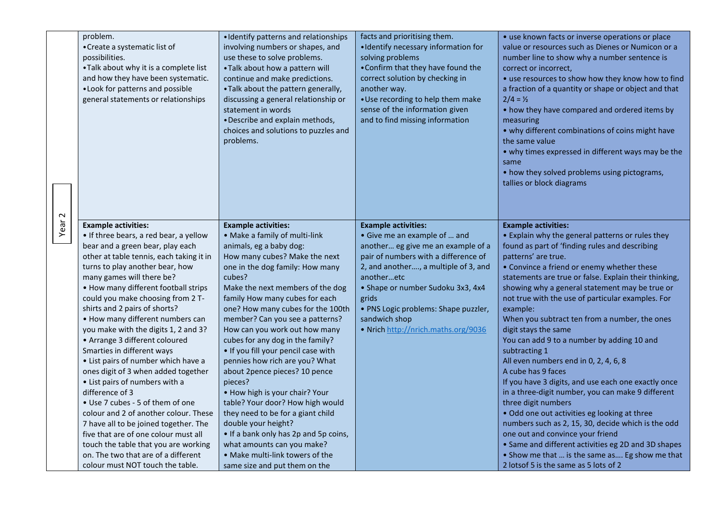|                   | problem.<br>• Create a systematic list of<br>possibilities.<br>•Talk about why it is a complete list<br>and how they have been systematic.<br>. Look for patterns and possible<br>general statements or relationships                                                                                                                                                                                                                                                                                                                                                                                                                                                                                                                                                                                                                                          | • Identify patterns and relationships<br>involving numbers or shapes, and<br>use these to solve problems.<br>• Talk about how a pattern will<br>continue and make predictions.<br>. Talk about the pattern generally,<br>discussing a general relationship or<br>statement in words<br>• Describe and explain methods,<br>choices and solutions to puzzles and<br>problems.                                                                                                                                                                                                                                                                                                                                                                              | facts and prioritising them.<br>• Identify necessary information for<br>solving problems<br>• Confirm that they have found the<br>correct solution by checking in<br>another way.<br>• Use recording to help them make<br>sense of the information given<br>and to find missing information                                                  | • use known facts or inverse operations or place<br>value or resources such as Dienes or Numicon or a<br>number line to show why a number sentence is<br>correct or incorrect,<br>• use resources to show how they know how to find<br>a fraction of a quantity or shape or object and that<br>$2/4 = 1/2$<br>• how they have compared and ordered items by<br>measuring<br>• why different combinations of coins might have<br>the same value<br>• why times expressed in different ways may be the<br>same<br>• how they solved problems using pictograms,<br>tallies or block diagrams                                                                                                                                                                                                                                                                                                                                                                                      |
|-------------------|----------------------------------------------------------------------------------------------------------------------------------------------------------------------------------------------------------------------------------------------------------------------------------------------------------------------------------------------------------------------------------------------------------------------------------------------------------------------------------------------------------------------------------------------------------------------------------------------------------------------------------------------------------------------------------------------------------------------------------------------------------------------------------------------------------------------------------------------------------------|----------------------------------------------------------------------------------------------------------------------------------------------------------------------------------------------------------------------------------------------------------------------------------------------------------------------------------------------------------------------------------------------------------------------------------------------------------------------------------------------------------------------------------------------------------------------------------------------------------------------------------------------------------------------------------------------------------------------------------------------------------|----------------------------------------------------------------------------------------------------------------------------------------------------------------------------------------------------------------------------------------------------------------------------------------------------------------------------------------------|--------------------------------------------------------------------------------------------------------------------------------------------------------------------------------------------------------------------------------------------------------------------------------------------------------------------------------------------------------------------------------------------------------------------------------------------------------------------------------------------------------------------------------------------------------------------------------------------------------------------------------------------------------------------------------------------------------------------------------------------------------------------------------------------------------------------------------------------------------------------------------------------------------------------------------------------------------------------------------|
| Year <sub>2</sub> | <b>Example activities:</b><br>• If three bears, a red bear, a yellow<br>bear and a green bear, play each<br>other at table tennis, each taking it in<br>turns to play another bear, how<br>many games will there be?<br>• How many different football strips<br>could you make choosing from 2 T-<br>shirts and 2 pairs of shorts?<br>• How many different numbers can<br>you make with the digits 1, 2 and 3?<br>• Arrange 3 different coloured<br>Smarties in different ways<br>• List pairs of number which have a<br>ones digit of 3 when added together<br>• List pairs of numbers with a<br>difference of 3<br>• Use 7 cubes - 5 of them of one<br>colour and 2 of another colour. These<br>7 have all to be joined together. The<br>five that are of one colour must all<br>touch the table that you are working<br>on. The two that are of a different | <b>Example activities:</b><br>• Make a family of multi-link<br>animals, eg a baby dog:<br>How many cubes? Make the next<br>one in the dog family: How many<br>cubes?<br>Make the next members of the dog<br>family How many cubes for each<br>one? How many cubes for the 100th<br>member? Can you see a patterns?<br>How can you work out how many<br>cubes for any dog in the family?<br>. If you fill your pencil case with<br>pennies how rich are you? What<br>about 2pence pieces? 10 pence<br>pieces?<br>• How high is your chair? Your<br>table? Your door? How high would<br>they need to be for a giant child<br>double your height?<br>• If a bank only has 2p and 5p coins,<br>what amounts can you make?<br>• Make multi-link towers of the | <b>Example activities:</b><br>• Give me an example of  and<br>another eg give me an example of a<br>pair of numbers with a difference of<br>2, and another, a multiple of 3, and<br>anotheretc<br>• Shape or number Sudoku 3x3, 4x4<br>grids<br>• PNS Logic problems: Shape puzzler,<br>sandwich shop<br>. Nrich http://nrich.maths.org/9036 | <b>Example activities:</b><br>• Explain why the general patterns or rules they<br>found as part of 'finding rules and describing<br>patterns' are true.<br>• Convince a friend or enemy whether these<br>statements are true or false. Explain their thinking,<br>showing why a general statement may be true or<br>not true with the use of particular examples. For<br>example:<br>When you subtract ten from a number, the ones<br>digit stays the same<br>You can add 9 to a number by adding 10 and<br>subtracting 1<br>All even numbers end in 0, 2, 4, 6, 8<br>A cube has 9 faces<br>If you have 3 digits, and use each one exactly once<br>in a three-digit number, you can make 9 different<br>three digit numbers<br>. Odd one out activities eg looking at three<br>numbers such as 2, 15, 30, decide which is the odd<br>one out and convince your friend<br>• Same and different activities eg 2D and 3D shapes<br>• Show me that  is the same as Eg show me that |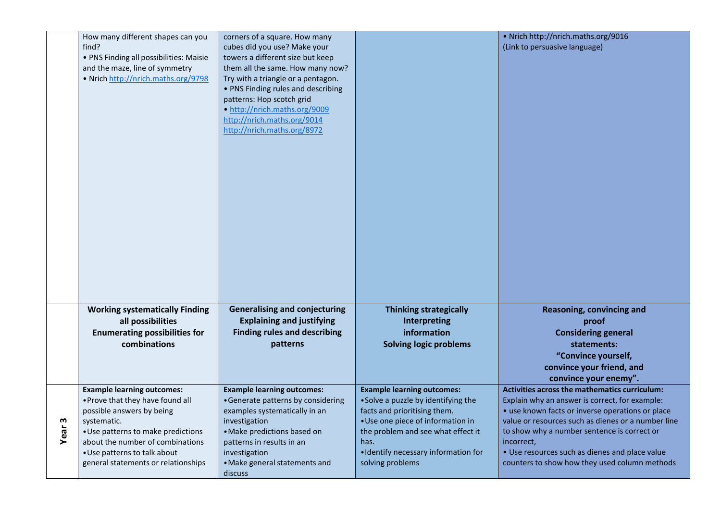|           | How many different shapes can you<br>find?<br>• PNS Finding all possibilities: Maisie<br>and the maze, line of symmetry<br>• Nrich http://nrich.maths.org/9798                                                                                                     | corners of a square. How many<br>cubes did you use? Make your<br>towers a different size but keep<br>them all the same. How many now?<br>Try with a triangle or a pentagon.<br>• PNS Finding rules and describing<br>patterns: Hop scotch grid<br>• http://nrich.maths.org/9009<br>http://nrich.maths.org/9014<br>http://nrich.maths.org/8972 |                                                                                                                                                                                                                                                         | • Nrich http://nrich.maths.org/9016<br>(Link to persuasive language)                                                                                                                                                                                                                                                                                                      |
|-----------|--------------------------------------------------------------------------------------------------------------------------------------------------------------------------------------------------------------------------------------------------------------------|-----------------------------------------------------------------------------------------------------------------------------------------------------------------------------------------------------------------------------------------------------------------------------------------------------------------------------------------------|---------------------------------------------------------------------------------------------------------------------------------------------------------------------------------------------------------------------------------------------------------|---------------------------------------------------------------------------------------------------------------------------------------------------------------------------------------------------------------------------------------------------------------------------------------------------------------------------------------------------------------------------|
|           | <b>Working systematically Finding</b><br>all possibilities<br><b>Enumerating possibilities for</b><br>combinations                                                                                                                                                 | <b>Generalising and conjecturing</b><br><b>Explaining and justifying</b><br><b>Finding rules and describing</b><br>patterns                                                                                                                                                                                                                   | <b>Thinking strategically</b><br>Interpreting<br>information<br><b>Solving logic problems</b>                                                                                                                                                           | Reasoning, convincing and<br>proof<br><b>Considering general</b><br>statements:<br>"Convince yourself,<br>convince your friend, and<br>convince your enemy".                                                                                                                                                                                                              |
| w<br>Year | <b>Example learning outcomes:</b><br>. Prove that they have found all<br>possible answers by being<br>systematic.<br>• Use patterns to make predictions<br>about the number of combinations<br>• Use patterns to talk about<br>general statements or relationships | <b>Example learning outcomes:</b><br>• Generate patterns by considering<br>examples systematically in an<br>investigation<br>· Make predictions based on<br>patterns in results in an<br>investigation<br>• Make general statements and<br>discuss                                                                                            | <b>Example learning outcomes:</b><br>• Solve a puzzle by identifying the<br>facts and prioritising them.<br>• Use one piece of information in<br>the problem and see what effect it<br>has.<br>· Identify necessary information for<br>solving problems | Activities across the mathematics curriculum:<br>Explain why an answer is correct, for example:<br>· use known facts or inverse operations or place<br>value or resources such as dienes or a number line<br>to show why a number sentence is correct or<br>incorrect,<br>• Use resources such as dienes and place value<br>counters to show how they used column methods |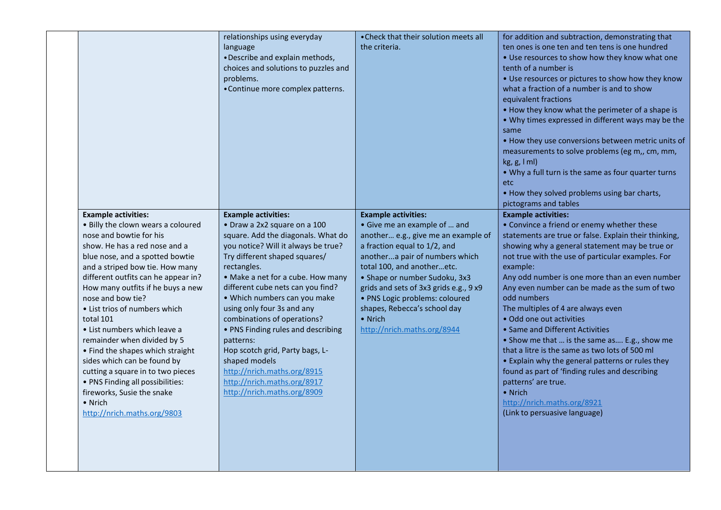|                                                                                                                                                                                                                                                                                                                                                                                                                                                                                                                                                                                                                                      | relationships using everyday<br>language<br>• Describe and explain methods,<br>choices and solutions to puzzles and<br>problems.<br>• Continue more complex patterns.                                                                                                                                                                                                                                                                                                                                                                                              | • Check that their solution meets all<br>the criteria.                                                                                                                                                                                                                                                                                                                                   | for addition and subtraction, demonstrating that<br>ten ones is one ten and ten tens is one hundred<br>• Use resources to show how they know what one<br>tenth of a number is<br>• Use resources or pictures to show how they know<br>what a fraction of a number is and to show<br>equivalent fractions<br>. How they know what the perimeter of a shape is<br>. Why times expressed in different ways may be the<br>same<br>. How they use conversions between metric units of<br>measurements to solve problems (eg m,, cm, mm,<br>kg, g, l ml)<br>• Why a full turn is the same as four quarter turns<br>etc<br>• How they solved problems using bar charts,<br>pictograms and tables                                                                                             |
|--------------------------------------------------------------------------------------------------------------------------------------------------------------------------------------------------------------------------------------------------------------------------------------------------------------------------------------------------------------------------------------------------------------------------------------------------------------------------------------------------------------------------------------------------------------------------------------------------------------------------------------|--------------------------------------------------------------------------------------------------------------------------------------------------------------------------------------------------------------------------------------------------------------------------------------------------------------------------------------------------------------------------------------------------------------------------------------------------------------------------------------------------------------------------------------------------------------------|------------------------------------------------------------------------------------------------------------------------------------------------------------------------------------------------------------------------------------------------------------------------------------------------------------------------------------------------------------------------------------------|---------------------------------------------------------------------------------------------------------------------------------------------------------------------------------------------------------------------------------------------------------------------------------------------------------------------------------------------------------------------------------------------------------------------------------------------------------------------------------------------------------------------------------------------------------------------------------------------------------------------------------------------------------------------------------------------------------------------------------------------------------------------------------------|
| <b>Example activities:</b><br>. Billy the clown wears a coloured<br>nose and bowtie for his<br>show. He has a red nose and a<br>blue nose, and a spotted bowtie<br>and a striped bow tie. How many<br>different outfits can he appear in?<br>How many outfits if he buys a new<br>nose and bow tie?<br>• List trios of numbers which<br>total 101<br>• List numbers which leave a<br>remainder when divided by 5<br>• Find the shapes which straight<br>sides which can be found by<br>cutting a square in to two pieces<br>• PNS Finding all possibilities:<br>fireworks, Susie the snake<br>• Nrich<br>http://nrich.maths.org/9803 | <b>Example activities:</b><br>• Draw a 2x2 square on a 100<br>square. Add the diagonals. What do<br>you notice? Will it always be true?<br>Try different shaped squares/<br>rectangles.<br>• Make a net for a cube. How many<br>different cube nets can you find?<br>• Which numbers can you make<br>using only four 3s and any<br>combinations of operations?<br>• PNS Finding rules and describing<br>patterns:<br>Hop scotch grid, Party bags, L-<br>shaped models<br>http://nrich.maths.org/8915<br>http://nrich.maths.org/8917<br>http://nrich.maths.org/8909 | <b>Example activities:</b><br>• Give me an example of  and<br>another e.g., give me an example of<br>a fraction equal to 1/2, and<br>anothera pair of numbers which<br>total 100, and anotheretc.<br>• Shape or number Sudoku, 3x3<br>grids and sets of 3x3 grids e.g., 9 x9<br>· PNS Logic problems: coloured<br>shapes, Rebecca's school day<br>• Nrich<br>http://nrich.maths.org/8944 | <b>Example activities:</b><br>• Convince a friend or enemy whether these<br>statements are true or false. Explain their thinking,<br>showing why a general statement may be true or<br>not true with the use of particular examples. For<br>example:<br>Any odd number is one more than an even number<br>Any even number can be made as the sum of two<br>odd numbers<br>The multiples of 4 are always even<br>• Odd one out activities<br>• Same and Different Activities<br>• Show me that  is the same as E.g., show me<br>that a litre is the same as two lots of 500 ml<br>• Explain why the general patterns or rules they<br>found as part of 'finding rules and describing<br>patterns' are true.<br>• Nrich<br>http://nrich.maths.org/8921<br>(Link to persuasive language) |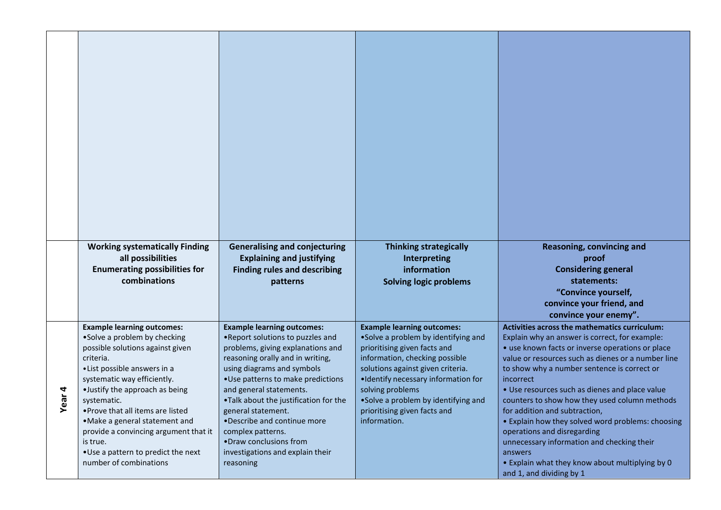|     | <b>Working systematically Finding</b>                                  | <b>Generalising and conjecturing</b>                            | <b>Thinking strategically</b>                                            | Reasoning, convincing and                                                        |
|-----|------------------------------------------------------------------------|-----------------------------------------------------------------|--------------------------------------------------------------------------|----------------------------------------------------------------------------------|
|     | all possibilities                                                      | <b>Explaining and justifying</b>                                | Interpreting                                                             | proof                                                                            |
|     | <b>Enumerating possibilities for</b>                                   | <b>Finding rules and describing</b>                             | information                                                              | <b>Considering general</b>                                                       |
|     | combinations                                                           | patterns                                                        | <b>Solving logic problems</b>                                            | statements:                                                                      |
|     |                                                                        |                                                                 |                                                                          | "Convince yourself,                                                              |
|     |                                                                        |                                                                 |                                                                          | convince your friend, and<br>convince your enemy".                               |
|     | <b>Example learning outcomes:</b>                                      | <b>Example learning outcomes:</b>                               | <b>Example learning outcomes:</b>                                        | Activities across the mathematics curriculum:                                    |
|     | •Solve a problem by checking                                           | . Report solutions to puzzles and                               | •Solve a problem by identifying and                                      | Explain why an answer is correct, for example:                                   |
|     | possible solutions against given                                       | problems, giving explanations and                               | prioritising given facts and                                             | • use known facts or inverse operations or place                                 |
|     | criteria.                                                              | reasoning orally and in writing,                                | information, checking possible                                           | value or resources such as dienes or a number line                               |
|     | • List possible answers in a<br>systematic way efficiently.            | using diagrams and symbols<br>•Use patterns to make predictions | solutions against given criteria.<br>.Identify necessary information for | to show why a number sentence is correct or<br>incorrect                         |
| 4   | •Justify the approach as being                                         | and general statements.                                         | solving problems                                                         | • Use resources such as dienes and place value                                   |
| ear | systematic.                                                            | .Talk about the justification for the                           | •Solve a problem by identifying and                                      | counters to show how they used column methods                                    |
| ≻   | •Prove that all items are listed                                       | general statement.                                              | prioritising given facts and                                             | for addition and subtraction,                                                    |
|     | •Make a general statement and<br>provide a convincing argument that it | •Describe and continue more<br>complex patterns.                | information.                                                             | • Explain how they solved word problems: choosing<br>operations and disregarding |
|     | is true.                                                               | •Draw conclusions from                                          |                                                                          | unnecessary information and checking their                                       |
|     | •Use a pattern to predict the next                                     | investigations and explain their                                |                                                                          | answers                                                                          |
|     | number of combinations                                                 | reasoning                                                       |                                                                          | • Explain what they know about multiplying by 0<br>and 1, and dividing by 1      |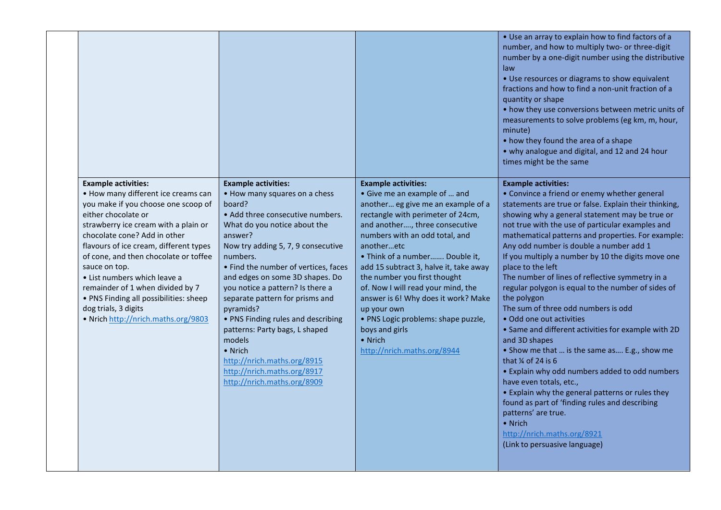|                                                                                                                                                                                                                                                                                                                                                                                                                                                                                          |                                                                                                                                                                                                                                                                                                                                                                                                                                                                                                                                                                 |                                                                                                                                                                                                                                                                                                                                                                                                                                                                                                                                    | • Use an array to explain how to find factors of a<br>number, and how to multiply two- or three-digit<br>number by a one-digit number using the distributive<br>law<br>• Use resources or diagrams to show equivalent<br>fractions and how to find a non-unit fraction of a<br>quantity or shape<br>• how they use conversions between metric units of<br>measurements to solve problems (eg km, m, hour,<br>minute)<br>• how they found the area of a shape<br>• why analogue and digital, and 12 and 24 hour<br>times might be the same                                                                                                                                                                                                                                                                                                                                                                                                                                                                                                                      |
|------------------------------------------------------------------------------------------------------------------------------------------------------------------------------------------------------------------------------------------------------------------------------------------------------------------------------------------------------------------------------------------------------------------------------------------------------------------------------------------|-----------------------------------------------------------------------------------------------------------------------------------------------------------------------------------------------------------------------------------------------------------------------------------------------------------------------------------------------------------------------------------------------------------------------------------------------------------------------------------------------------------------------------------------------------------------|------------------------------------------------------------------------------------------------------------------------------------------------------------------------------------------------------------------------------------------------------------------------------------------------------------------------------------------------------------------------------------------------------------------------------------------------------------------------------------------------------------------------------------|----------------------------------------------------------------------------------------------------------------------------------------------------------------------------------------------------------------------------------------------------------------------------------------------------------------------------------------------------------------------------------------------------------------------------------------------------------------------------------------------------------------------------------------------------------------------------------------------------------------------------------------------------------------------------------------------------------------------------------------------------------------------------------------------------------------------------------------------------------------------------------------------------------------------------------------------------------------------------------------------------------------------------------------------------------------|
| <b>Example activities:</b><br>• How many different ice creams can<br>you make if you choose one scoop of<br>either chocolate or<br>strawberry ice cream with a plain or<br>chocolate cone? Add in other<br>flavours of ice cream, different types<br>of cone, and then chocolate or toffee<br>sauce on top.<br>• List numbers which leave a<br>remainder of 1 when divided by 7<br>• PNS Finding all possibilities: sheep<br>dog trials, 3 digits<br>. Nrich http://nrich.maths.org/9803 | <b>Example activities:</b><br>• How many squares on a chess<br>board?<br>• Add three consecutive numbers.<br>What do you notice about the<br>answer?<br>Now try adding 5, 7, 9 consecutive<br>numbers.<br>• Find the number of vertices, faces<br>and edges on some 3D shapes. Do<br>you notice a pattern? Is there a<br>separate pattern for prisms and<br>pyramids?<br>• PNS Finding rules and describing<br>patterns: Party bags, L shaped<br>models<br>• Nrich<br>http://nrich.maths.org/8915<br>http://nrich.maths.org/8917<br>http://nrich.maths.org/8909 | <b>Example activities:</b><br>• Give me an example of  and<br>another eg give me an example of a<br>rectangle with perimeter of 24cm,<br>and another, three consecutive<br>numbers with an odd total, and<br>anotheretc<br>• Think of a number Double it,<br>add 15 subtract 3, halve it, take away<br>the number you first thought<br>of. Now I will read your mind, the<br>answer is 6! Why does it work? Make<br>up your own<br>• PNS Logic problems: shape puzzle,<br>boys and girls<br>• Nrich<br>http://nrich.maths.org/8944 | <b>Example activities:</b><br>• Convince a friend or enemy whether general<br>statements are true or false. Explain their thinking,<br>showing why a general statement may be true or<br>not true with the use of particular examples and<br>mathematical patterns and properties. For example:<br>Any odd number is double a number add 1<br>If you multiply a number by 10 the digits move one<br>place to the left<br>The number of lines of reflective symmetry in a<br>regular polygon is equal to the number of sides of<br>the polygon<br>The sum of three odd numbers is odd<br>· Odd one out activities<br>• Same and different activities for example with 2D<br>and 3D shapes<br>• Show me that  is the same as E.g., show me<br>that $\frac{1}{4}$ of 24 is 6<br>• Explain why odd numbers added to odd numbers<br>have even totals, etc.,<br>• Explain why the general patterns or rules they<br>found as part of 'finding rules and describing<br>patterns' are true.<br>• Nrich<br>http://nrich.maths.org/8921<br>(Link to persuasive language) |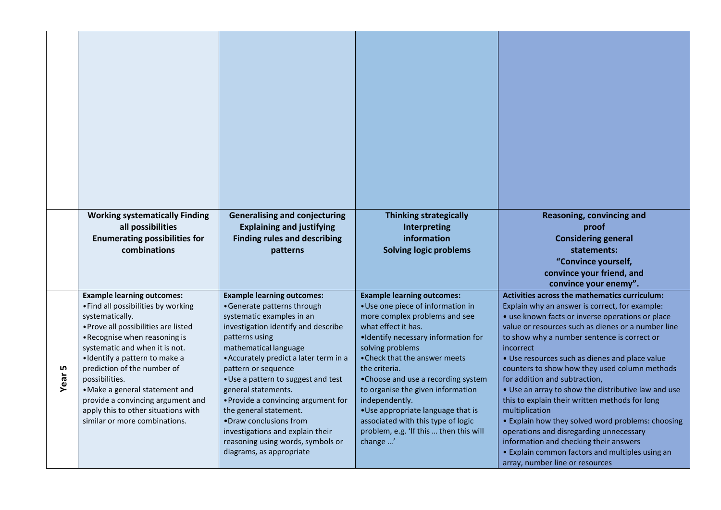|             | <b>Working systematically Finding</b><br>all possibilities<br><b>Enumerating possibilities for</b><br>combinations                                                                                                                                                                                                                                                                                                                       | <b>Generalising and conjecturing</b><br><b>Explaining and justifying</b><br><b>Finding rules and describing</b><br>patterns                                                                                                                                                                                                                                                                                                                                                                                    | <b>Thinking strategically</b><br><b>Interpreting</b><br>information<br><b>Solving logic problems</b>                                                                                                                                                                                                                                                                                                                                                                      | Reasoning, convincing and<br>proof<br><b>Considering general</b><br>statements:<br>"Convince yourself,<br>convince your friend, and<br>convince your enemy".                                                                                                                                                                                                                                                                                                                                                                                                                                                                                                                                                                                                         |
|-------------|------------------------------------------------------------------------------------------------------------------------------------------------------------------------------------------------------------------------------------------------------------------------------------------------------------------------------------------------------------------------------------------------------------------------------------------|----------------------------------------------------------------------------------------------------------------------------------------------------------------------------------------------------------------------------------------------------------------------------------------------------------------------------------------------------------------------------------------------------------------------------------------------------------------------------------------------------------------|---------------------------------------------------------------------------------------------------------------------------------------------------------------------------------------------------------------------------------------------------------------------------------------------------------------------------------------------------------------------------------------------------------------------------------------------------------------------------|----------------------------------------------------------------------------------------------------------------------------------------------------------------------------------------------------------------------------------------------------------------------------------------------------------------------------------------------------------------------------------------------------------------------------------------------------------------------------------------------------------------------------------------------------------------------------------------------------------------------------------------------------------------------------------------------------------------------------------------------------------------------|
| LN,<br>Year | <b>Example learning outcomes:</b><br>• Find all possibilities by working<br>systematically.<br>• Prove all possibilities are listed<br>• Recognise when reasoning is<br>systematic and when it is not.<br>· Identify a pattern to make a<br>prediction of the number of<br>possibilities.<br>• Make a general statement and<br>provide a convincing argument and<br>apply this to other situations with<br>similar or more combinations. | <b>Example learning outcomes:</b><br>• Generate patterns through<br>systematic examples in an<br>investigation identify and describe<br>patterns using<br>mathematical language<br>• Accurately predict a later term in a<br>pattern or sequence<br>• Use a pattern to suggest and test<br>general statements.<br>• Provide a convincing argument for<br>the general statement.<br>•Draw conclusions from<br>investigations and explain their<br>reasoning using words, symbols or<br>diagrams, as appropriate | <b>Example learning outcomes:</b><br>• Use one piece of information in<br>more complex problems and see<br>what effect it has.<br>.Identify necessary information for<br>solving problems<br>• Check that the answer meets<br>the criteria.<br>•Choose and use a recording system<br>to organise the given information<br>independently.<br>•Use appropriate language that is<br>associated with this type of logic<br>problem, e.g. 'If this  then this will<br>change ' | Activities across the mathematics curriculum:<br>Explain why an answer is correct, for example:<br>• use known facts or inverse operations or place<br>value or resources such as dienes or a number line<br>to show why a number sentence is correct or<br>incorrect<br>• Use resources such as dienes and place value<br>counters to show how they used column methods<br>for addition and subtraction,<br>• Use an array to show the distributive law and use<br>this to explain their written methods for long<br>multiplication<br>• Explain how they solved word problems: choosing<br>operations and disregarding unnecessary<br>information and checking their answers<br>• Explain common factors and multiples using an<br>array, number line or resources |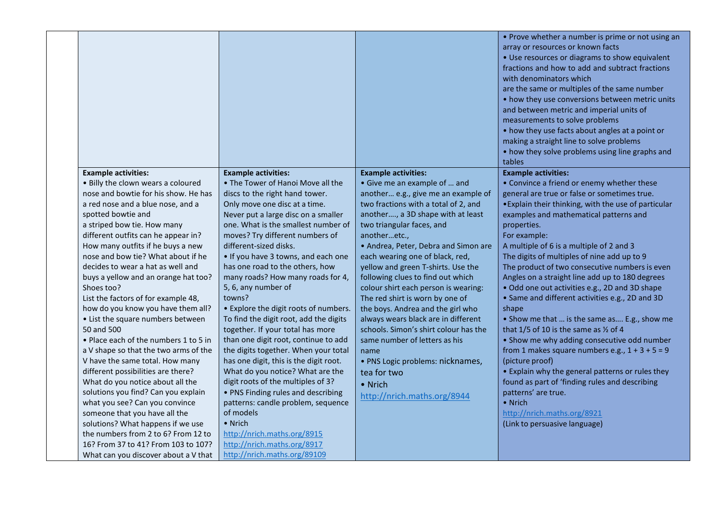|                                       |                                        |                                       | • Prove whether a number is prime or not using an<br>array or resources or known facts<br>• Use resources or diagrams to show equivalent<br>fractions and how to add and subtract fractions<br>with denominators which<br>are the same or multiples of the same number<br>• how they use conversions between metric units<br>and between metric and imperial units of<br>measurements to solve problems<br>• how they use facts about angles at a point or<br>making a straight line to solve problems<br>• how they solve problems using line graphs and<br>tables |
|---------------------------------------|----------------------------------------|---------------------------------------|---------------------------------------------------------------------------------------------------------------------------------------------------------------------------------------------------------------------------------------------------------------------------------------------------------------------------------------------------------------------------------------------------------------------------------------------------------------------------------------------------------------------------------------------------------------------|
| <b>Example activities:</b>            | <b>Example activities:</b>             | <b>Example activities:</b>            | <b>Example activities:</b>                                                                                                                                                                                                                                                                                                                                                                                                                                                                                                                                          |
| . Billy the clown wears a coloured    | • The Tower of Hanoi Move all the      | • Give me an example of  and          | • Convince a friend or enemy whether these                                                                                                                                                                                                                                                                                                                                                                                                                                                                                                                          |
| nose and bowtie for his show. He has  | discs to the right hand tower.         | another e.g., give me an example of   | general are true or false or sometimes true.                                                                                                                                                                                                                                                                                                                                                                                                                                                                                                                        |
| a red nose and a blue nose, and a     | Only move one disc at a time.          | two fractions with a total of 2, and  | . Explain their thinking, with the use of particular                                                                                                                                                                                                                                                                                                                                                                                                                                                                                                                |
| spotted bowtie and                    | Never put a large disc on a smaller    | another, a 3D shape with at least     | examples and mathematical patterns and                                                                                                                                                                                                                                                                                                                                                                                                                                                                                                                              |
| a striped bow tie. How many           | one. What is the smallest number of    | two triangular faces, and             | properties.                                                                                                                                                                                                                                                                                                                                                                                                                                                                                                                                                         |
| different outfits can he appear in?   | moves? Try different numbers of        | anotheretc.,                          | For example:                                                                                                                                                                                                                                                                                                                                                                                                                                                                                                                                                        |
| How many outfits if he buys a new     | different-sized disks.                 | • Andrea, Peter, Debra and Simon are  | A multiple of 6 is a multiple of 2 and 3                                                                                                                                                                                                                                                                                                                                                                                                                                                                                                                            |
| nose and bow tie? What about if he    | . If you have 3 towns, and each one    | each wearing one of black, red,       | The digits of multiples of nine add up to 9                                                                                                                                                                                                                                                                                                                                                                                                                                                                                                                         |
| decides to wear a hat as well and     | has one road to the others, how        | yellow and green T-shirts. Use the    | The product of two consecutive numbers is even                                                                                                                                                                                                                                                                                                                                                                                                                                                                                                                      |
| buys a yellow and an orange hat too?  | many roads? How many roads for 4,      | following clues to find out which     | Angles on a straight line add up to 180 degrees                                                                                                                                                                                                                                                                                                                                                                                                                                                                                                                     |
| Shoes too?                            | 5, 6, any number of                    | colour shirt each person is wearing:  | • Odd one out activities e.g., 2D and 3D shape                                                                                                                                                                                                                                                                                                                                                                                                                                                                                                                      |
| List the factors of for example 48,   | towns?                                 | The red shirt is worn by one of       | • Same and different activities e.g., 2D and 3D                                                                                                                                                                                                                                                                                                                                                                                                                                                                                                                     |
| how do you know you have them all?    | • Explore the digit roots of numbers.  | the boys. Andrea and the girl who     | shape                                                                                                                                                                                                                                                                                                                                                                                                                                                                                                                                                               |
| • List the square numbers between     | To find the digit root, add the digits | always wears black are in different   | • Show me that  is the same as E.g., show me                                                                                                                                                                                                                                                                                                                                                                                                                                                                                                                        |
| 50 and 500                            | together. If your total has more       | schools. Simon's shirt colour has the | that $1/5$ of 10 is the same as $\frac{1}{2}$ of 4                                                                                                                                                                                                                                                                                                                                                                                                                                                                                                                  |
| • Place each of the numbers 1 to 5 in | than one digit root, continue to add   | same number of letters as his         | • Show me why adding consecutive odd number                                                                                                                                                                                                                                                                                                                                                                                                                                                                                                                         |
| a V shape so that the two arms of the | the digits together. When your total   | name                                  | from 1 makes square numbers e.g., $1 + 3 + 5 = 9$                                                                                                                                                                                                                                                                                                                                                                                                                                                                                                                   |
| V have the same total. How many       | has one digit, this is the digit root. | · PNS Logic problems: nicknames,      | (picture proof)                                                                                                                                                                                                                                                                                                                                                                                                                                                                                                                                                     |
| different possibilities are there?    | What do you notice? What are the       | tea for two                           | • Explain why the general patterns or rules they                                                                                                                                                                                                                                                                                                                                                                                                                                                                                                                    |
| What do you notice about all the      | digit roots of the multiples of 3?     | • Nrich                               | found as part of 'finding rules and describing                                                                                                                                                                                                                                                                                                                                                                                                                                                                                                                      |
| solutions you find? Can you explain   | • PNS Finding rules and describing     | http://nrich.maths.org/8944           | patterns' are true.                                                                                                                                                                                                                                                                                                                                                                                                                                                                                                                                                 |
| what you see? Can you convince        | patterns: candle problem, sequence     |                                       | • Nrich                                                                                                                                                                                                                                                                                                                                                                                                                                                                                                                                                             |
| someone that you have all the         | of models                              |                                       | http://nrich.maths.org/8921                                                                                                                                                                                                                                                                                                                                                                                                                                                                                                                                         |
| solutions? What happens if we use     | • Nrich                                |                                       | (Link to persuasive language)                                                                                                                                                                                                                                                                                                                                                                                                                                                                                                                                       |
| the numbers from 2 to 6? From 12 to   | http://nrich.maths.org/8915            |                                       |                                                                                                                                                                                                                                                                                                                                                                                                                                                                                                                                                                     |
| 16? From 37 to 41? From 103 to 107?   | http://nrich.maths.org/8917            |                                       |                                                                                                                                                                                                                                                                                                                                                                                                                                                                                                                                                                     |
| What can you discover about a V that  | http://nrich.maths.org/89109           |                                       |                                                                                                                                                                                                                                                                                                                                                                                                                                                                                                                                                                     |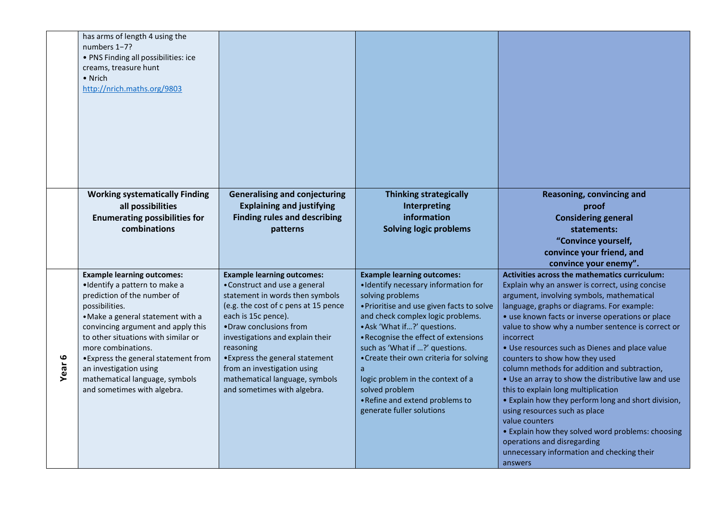|        | has arms of length 4 using the<br>numbers 1-7?<br>• PNS Finding all possibilities: ice<br>creams, treasure hunt<br>• Nrich<br>http://nrich.maths.org/9803                                                                                                                                                                                                                                     |                                                                                                                                                                                                                                                                                                                                                                                    |                                                                                                                                                                                                                                                                                                                                                                                                                                                                 |                                                                                                                                                                                                                                                                                                                                                                                                                                                                                                                                                                                                                                                                                                                                                                                                            |
|--------|-----------------------------------------------------------------------------------------------------------------------------------------------------------------------------------------------------------------------------------------------------------------------------------------------------------------------------------------------------------------------------------------------|------------------------------------------------------------------------------------------------------------------------------------------------------------------------------------------------------------------------------------------------------------------------------------------------------------------------------------------------------------------------------------|-----------------------------------------------------------------------------------------------------------------------------------------------------------------------------------------------------------------------------------------------------------------------------------------------------------------------------------------------------------------------------------------------------------------------------------------------------------------|------------------------------------------------------------------------------------------------------------------------------------------------------------------------------------------------------------------------------------------------------------------------------------------------------------------------------------------------------------------------------------------------------------------------------------------------------------------------------------------------------------------------------------------------------------------------------------------------------------------------------------------------------------------------------------------------------------------------------------------------------------------------------------------------------------|
|        | <b>Working systematically Finding</b><br>all possibilities                                                                                                                                                                                                                                                                                                                                    | <b>Generalising and conjecturing</b><br><b>Explaining and justifying</b>                                                                                                                                                                                                                                                                                                           | <b>Thinking strategically</b><br>Interpreting                                                                                                                                                                                                                                                                                                                                                                                                                   | Reasoning, convincing and<br>proof                                                                                                                                                                                                                                                                                                                                                                                                                                                                                                                                                                                                                                                                                                                                                                         |
|        | <b>Enumerating possibilities for</b>                                                                                                                                                                                                                                                                                                                                                          | <b>Finding rules and describing</b>                                                                                                                                                                                                                                                                                                                                                | information                                                                                                                                                                                                                                                                                                                                                                                                                                                     | <b>Considering general</b>                                                                                                                                                                                                                                                                                                                                                                                                                                                                                                                                                                                                                                                                                                                                                                                 |
|        | combinations                                                                                                                                                                                                                                                                                                                                                                                  | patterns                                                                                                                                                                                                                                                                                                                                                                           | <b>Solving logic problems</b>                                                                                                                                                                                                                                                                                                                                                                                                                                   | statements:<br>"Convince yourself,                                                                                                                                                                                                                                                                                                                                                                                                                                                                                                                                                                                                                                                                                                                                                                         |
|        |                                                                                                                                                                                                                                                                                                                                                                                               |                                                                                                                                                                                                                                                                                                                                                                                    |                                                                                                                                                                                                                                                                                                                                                                                                                                                                 | convince your friend, and<br>convince your enemy".                                                                                                                                                                                                                                                                                                                                                                                                                                                                                                                                                                                                                                                                                                                                                         |
| Year 6 | <b>Example learning outcomes:</b><br>·Identify a pattern to make a<br>prediction of the number of<br>possibilities.<br>• Make a general statement with a<br>convincing argument and apply this<br>to other situations with similar or<br>more combinations.<br>•Express the general statement from<br>an investigation using<br>mathematical language, symbols<br>and sometimes with algebra. | <b>Example learning outcomes:</b><br>• Construct and use a general<br>statement in words then symbols<br>(e.g. the cost of c pens at 15 pence<br>each is 15c pence).<br>•Draw conclusions from<br>investigations and explain their<br>reasoning<br>• Express the general statement<br>from an investigation using<br>mathematical language, symbols<br>and sometimes with algebra. | <b>Example learning outcomes:</b><br>• Identify necessary information for<br>solving problems<br>• Prioritise and use given facts to solve<br>and check complex logic problems.<br>• Ask 'What if?' questions.<br>• Recognise the effect of extensions<br>such as 'What if ?' questions.<br>• Create their own criteria for solving<br>a<br>logic problem in the context of a<br>solved problem<br>• Refine and extend problems to<br>generate fuller solutions | Activities across the mathematics curriculum:<br>Explain why an answer is correct, using concise<br>argument, involving symbols, mathematical<br>language, graphs or diagrams. For example:<br>• use known facts or inverse operations or place<br>value to show why a number sentence is correct or<br>incorrect<br>• Use resources such as Dienes and place value<br>counters to show how they used<br>column methods for addition and subtraction,<br>• Use an array to show the distributive law and use<br>this to explain long multiplication<br>• Explain how they perform long and short division,<br>using resources such as place<br>value counters<br>• Explain how they solved word problems: choosing<br>operations and disregarding<br>unnecessary information and checking their<br>answers |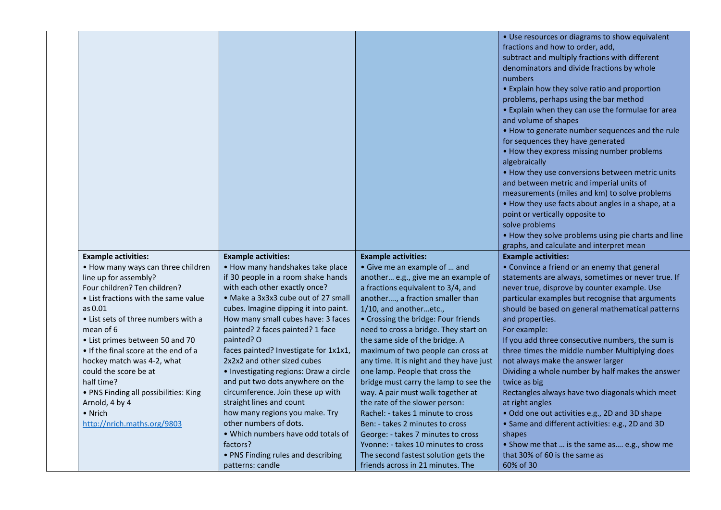|                                                                      |                                                                       |                                                                            | • Use resources or diagrams to show equivalent<br>fractions and how to order, add,<br>subtract and multiply fractions with different<br>denominators and divide fractions by whole<br>numbers<br>• Explain how they solve ratio and proportion<br>problems, perhaps using the bar method<br>• Explain when they can use the formulae for area<br>and volume of shapes<br>. How to generate number sequences and the rule<br>for sequences they have generated<br>• How they express missing number problems<br>algebraically<br>• How they use conversions between metric units<br>and between metric and imperial units of<br>measurements (miles and km) to solve problems<br>• How they use facts about angles in a shape, at a |
|----------------------------------------------------------------------|-----------------------------------------------------------------------|----------------------------------------------------------------------------|------------------------------------------------------------------------------------------------------------------------------------------------------------------------------------------------------------------------------------------------------------------------------------------------------------------------------------------------------------------------------------------------------------------------------------------------------------------------------------------------------------------------------------------------------------------------------------------------------------------------------------------------------------------------------------------------------------------------------------|
|                                                                      |                                                                       |                                                                            | point or vertically opposite to                                                                                                                                                                                                                                                                                                                                                                                                                                                                                                                                                                                                                                                                                                    |
|                                                                      |                                                                       |                                                                            | solve problems                                                                                                                                                                                                                                                                                                                                                                                                                                                                                                                                                                                                                                                                                                                     |
|                                                                      |                                                                       |                                                                            | . How they solve problems using pie charts and line                                                                                                                                                                                                                                                                                                                                                                                                                                                                                                                                                                                                                                                                                |
|                                                                      |                                                                       |                                                                            | graphs, and calculate and interpret mean                                                                                                                                                                                                                                                                                                                                                                                                                                                                                                                                                                                                                                                                                           |
| <b>Example activities:</b>                                           | <b>Example activities:</b>                                            | <b>Example activities:</b>                                                 | <b>Example activities:</b>                                                                                                                                                                                                                                                                                                                                                                                                                                                                                                                                                                                                                                                                                                         |
| • How many ways can three children                                   | • How many handshakes take place                                      | • Give me an example of  and                                               | • Convince a friend or an enemy that general                                                                                                                                                                                                                                                                                                                                                                                                                                                                                                                                                                                                                                                                                       |
| line up for assembly?                                                | if 30 people in a room shake hands                                    | another e.g., give me an example of                                        | statements are always, sometimes or never true. If                                                                                                                                                                                                                                                                                                                                                                                                                                                                                                                                                                                                                                                                                 |
| Four children? Ten children?<br>• List fractions with the same value | with each other exactly once?<br>• Make a 3x3x3 cube out of 27 small  | a fractions equivalent to 3/4, and<br>another, a fraction smaller than     | never true, disprove by counter example. Use<br>particular examples but recognise that arguments                                                                                                                                                                                                                                                                                                                                                                                                                                                                                                                                                                                                                                   |
| as 0.01                                                              | cubes. Imagine dipping it into paint.                                 | 1/10, and anotheretc.,                                                     | should be based on general mathematical patterns                                                                                                                                                                                                                                                                                                                                                                                                                                                                                                                                                                                                                                                                                   |
| • List sets of three numbers with a                                  | How many small cubes have: 3 faces                                    | • Crossing the bridge: Four friends                                        | and properties.                                                                                                                                                                                                                                                                                                                                                                                                                                                                                                                                                                                                                                                                                                                    |
| mean of 6                                                            | painted? 2 faces painted? 1 face                                      | need to cross a bridge. They start on                                      | For example:                                                                                                                                                                                                                                                                                                                                                                                                                                                                                                                                                                                                                                                                                                                       |
| • List primes between 50 and 70                                      | painted? O                                                            | the same side of the bridge. A                                             | If you add three consecutive numbers, the sum is                                                                                                                                                                                                                                                                                                                                                                                                                                                                                                                                                                                                                                                                                   |
| . If the final score at the end of a                                 | faces painted? Investigate for 1x1x1,                                 | maximum of two people can cross at                                         | three times the middle number Multiplying does                                                                                                                                                                                                                                                                                                                                                                                                                                                                                                                                                                                                                                                                                     |
| hockey match was 4-2, what                                           | 2x2x2 and other sized cubes                                           | any time. It is night and they have just                                   | not always make the answer larger                                                                                                                                                                                                                                                                                                                                                                                                                                                                                                                                                                                                                                                                                                  |
| could the score be at                                                | · Investigating regions: Draw a circle                                | one lamp. People that cross the                                            | Dividing a whole number by half makes the answer                                                                                                                                                                                                                                                                                                                                                                                                                                                                                                                                                                                                                                                                                   |
| half time?                                                           | and put two dots anywhere on the<br>circumference. Join these up with | bridge must carry the lamp to see the<br>way. A pair must walk together at | twice as big<br>Rectangles always have two diagonals which meet                                                                                                                                                                                                                                                                                                                                                                                                                                                                                                                                                                                                                                                                    |
| • PNS Finding all possibilities: King<br>Arnold, 4 by 4              | straight lines and count                                              | the rate of the slower person:                                             | at right angles                                                                                                                                                                                                                                                                                                                                                                                                                                                                                                                                                                                                                                                                                                                    |
| • Nrich                                                              | how many regions you make. Try                                        | Rachel: - takes 1 minute to cross                                          | . Odd one out activities e.g., 2D and 3D shape                                                                                                                                                                                                                                                                                                                                                                                                                                                                                                                                                                                                                                                                                     |
| http://nrich.maths.org/9803                                          | other numbers of dots.                                                | Ben: - takes 2 minutes to cross                                            | • Same and different activities: e.g., 2D and 3D                                                                                                                                                                                                                                                                                                                                                                                                                                                                                                                                                                                                                                                                                   |
|                                                                      | • Which numbers have odd totals of                                    | George: - takes 7 minutes to cross                                         | shapes                                                                                                                                                                                                                                                                                                                                                                                                                                                                                                                                                                                                                                                                                                                             |
|                                                                      | factors?                                                              | Yvonne: - takes 10 minutes to cross                                        | • Show me that  is the same as e.g., show me                                                                                                                                                                                                                                                                                                                                                                                                                                                                                                                                                                                                                                                                                       |
|                                                                      | • PNS Finding rules and describing                                    | The second fastest solution gets the                                       | that 30% of 60 is the same as                                                                                                                                                                                                                                                                                                                                                                                                                                                                                                                                                                                                                                                                                                      |
|                                                                      | patterns: candle                                                      | friends across in 21 minutes. The                                          | 60% of 30                                                                                                                                                                                                                                                                                                                                                                                                                                                                                                                                                                                                                                                                                                                          |